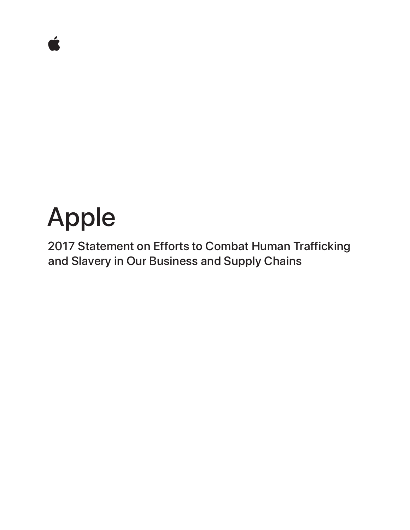# Apple

2017 Statement on Efforts to Combat Human Trafficking and Slavery in Our Business and Supply Chains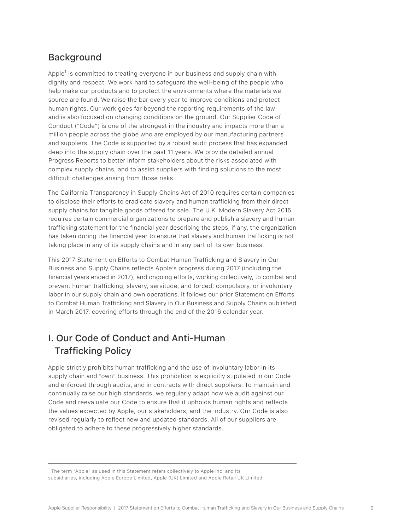## **Background**

Apple<sup>1</sup> is committed to treating everyone in our business and supply chain with dignity and respect. We work hard to safeguard the well-being of the people who help make our products and to protect the environments where the materials we source are found. We raise the bar every year to improve conditions and protect human rights. Our work goes far beyond the reporting requirements of the law and is also focused on changing conditions on the ground. Our Supplier Code of Conduct ("Code") is one of the strongest in the industry and impacts more than a million people across the globe who are employed by our manufacturing partners and suppliers. The Code is supported by a robust audit process that has expanded deep into the supply chain over the past 11 years. We provide detailed annual Progress Reports to better inform stakeholders about the risks associated with complex supply chains, and to assist suppliers with finding solutions to the most difficult challenges arising from those risks.

The California Transparency in Supply Chains Act of 2010 requires certain companies to disclose their efforts to eradicate slavery and human trafficking from their direct supply chains for tangible goods offered for sale. The U.K. Modern Slavery Act 2015 requires certain commercial organizations to prepare and publish a slavery and human trafficking statement for the financial year describing the steps, if any, the organization has taken during the financial year to ensure that slavery and human trafficking is not taking place in any of its supply chains and in any part of its own business.

This 2017 Statement on Efforts to Combat Human Trafficking and Slavery in Our Business and Supply Chains reflects Apple's progress during 2017 (including the financial years ended in 2017), and ongoing efforts, working collectively, to combat and prevent human trafficking, slavery, servitude, and forced, compulsory, or involuntary labor in our supply chain and own operations. It follows our prior Statement on Efforts to Combat Human Trafficking and Slavery in Our Business and Supply Chains published in March 2017, covering efforts through the end of the 2016 calendar year.

## I. Our Code of Conduct and Anti-Human Trafficking Policy

Apple strictly prohibits human trafficking and the use of involuntary labor in its supply chain and "own" business. This prohibition is explicitly stipulated in our Code and enforced through audits, and in contracts with direct suppliers. To maintain and continually raise our high standards, we regularly adapt how we audit against our Code and reevaluate our Code to ensure that it upholds human rights and reflects the values expected by Apple, our stakeholders, and the industry. Our Code is also revised regularly to reflect new and updated standards. All of our suppliers are obligated to adhere to these progressively higher standards.

<sup>1</sup> The term "Apple" as used in this Statement refers collectively to Apple Inc. and its subsidiaries, including Apple Europe Limited, Apple (UK) Limited and Apple Retail UK Limited.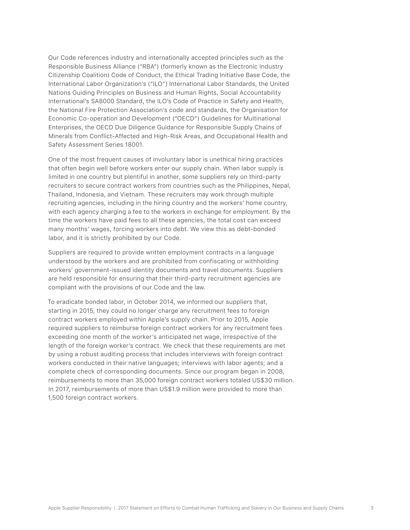Our Code references industry and internationally accepted principles such as the Responsible Business Alliance ("RBA") (formerly known as the Electronic Industry Citizenship Coalition) Code of Conduct, the Ethical Trading Initiative Base Code, the International Labor Organization's ("ILO") International Labor Standards, the United Nations Guiding Principles on Business and Human Rights, Social Accountability International's SA8000 Standard, the ILO's Code of Practice in Safety and Health, the National Fire Protection Association's code and standards, the Organisation for Economic Co-operation and Development ("OECD") Guidelines for Multinational Enterprises, the OECD Due Diligence Guidance for Responsible Supply Chains of Minerals from Conflict-Affected and High-Risk Areas, and Occupational Health and Safety Assessment Series 18001.

One of the most frequent causes of involuntary labor is unethical hiring practices that often begin well before workers enter our supply chain. When labor supply is limited in one country but plentiful in another, some suppliers rely on third-party recruiters to secure contract workers from countries such as the Philippines, Nepal, Thailand, Indonesia, and Vietnam. These recruiters may work through multiple recruiting agencies, including in the hiring country and the workers' home country, with each agency charging a fee to the workers in exchange for employment. By the time the workers have paid fees to all these agencies, the total cost can exceed many months' wages, forcing workers into debt. We view this as debt-bonded labor, and it is strictly prohibited by our Code.

Suppliers are required to provide written employment contracts in a language understood by the workers and are prohibited from confiscating or withholding workers' government-issued identity documents and travel documents. Suppliers are held responsible for ensuring that their third-party recruitment agencies are compliant with the provisions of our Code and the law.

To eradicate bonded labor, in October 2014, we informed our suppliers that, starting in 2015, they could no longer charge any recruitment fees to foreign contract workers employed within Apple's supply chain. Prior to 2015, Apple required suppliers to reimburse foreign contract workers for any recruitment fees exceeding one month of the worker's anticipated net wage, irrespective of the length of the foreign worker's contract. We check that these requirements are met by using a robust auditing process that includes interviews with foreign contract workers conducted in their native languages; interviews with labor agents; and a complete check of corresponding documents. Since our program began in 2008, reimbursements to more than 35,000 foreign contract workers totaled US\$30 million. In 2017, reimbursements of more than US\$1.9 million were provided to more than 1,500 foreign contract workers.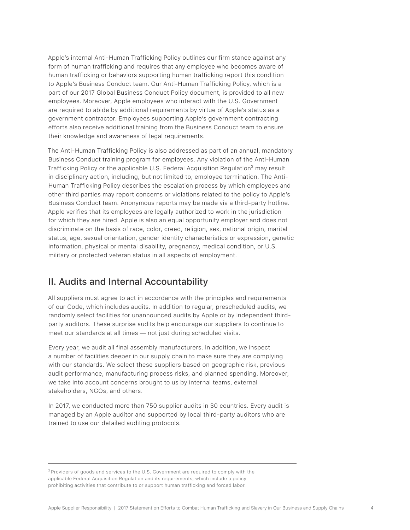Apple's internal Anti-Human Trafficking Policy outlines our firm stance against any form of human trafficking and requires that any employee who becomes aware of human trafficking or behaviors supporting human trafficking report this condition to Apple's Business Conduct team. Our Anti-Human Trafficking Policy, which is a part of our 2017 Global Business Conduct Policy document, is provided to all new employees. Moreover, Apple employees who interact with the U.S. Government are required to abide by additional requirements by virtue of Apple's status as a government contractor. Employees supporting Apple's government contracting efforts also receive additional training from the Business Conduct team to ensure their knowledge and awareness of legal requirements.

The Anti-Human Trafficking Policy is also addressed as part of an annual, mandatory Business Conduct training program for employees. Any violation of the Anti-Human Trafficking Policy or the applicable U.S. Federal Acquisition Regulation<sup>2</sup> may result in disciplinary action, including, but not limited to, employee termination. The Anti-Human Trafficking Policy describes the escalation process by which employees and other third parties may report concerns or violations related to the policy to Apple's Business Conduct team. Anonymous reports may be made via a third-party hotline. Apple verifies that its employees are legally authorized to work in the jurisdiction for which they are hired. Apple is also an equal opportunity employer and does not discriminate on the basis of race, color, creed, religion, sex, national origin, marital status, age, sexual orientation, gender identity characteristics or expression, genetic information, physical or mental disability, pregnancy, medical condition, or U.S. military or protected veteran status in all aspects of employment.

#### II. Audits and Internal Accountability

All suppliers must agree to act in accordance with the principles and requirements of our Code, which includes audits. In addition to regular, prescheduled audits, we randomly select facilities for unannounced audits by Apple or by independent thirdparty auditors. These surprise audits help encourage our suppliers to continue to meet our standards at all times — not just during scheduled visits.

Every year, we audit all final assembly manufacturers. In addition, we inspect a number of facilities deeper in our supply chain to make sure they are complying with our standards. We select these suppliers based on geographic risk, previous audit performance, manufacturing process risks, and planned spending. Moreover, we take into account concerns brought to us by internal teams, external stakeholders, NGOs, and others.

In 2017, we conducted more than 750 supplier audits in 30 countries. Every audit is managed by an Apple auditor and supported by local third-party auditors who are trained to use our detailed auditing protocols.

² Providers of goods and services to the U.S. Government are required to comply with the applicable Federal Acquisition Regulation and its requirements, which include a policy prohibiting activities that contribute to or support human trafficking and forced labor.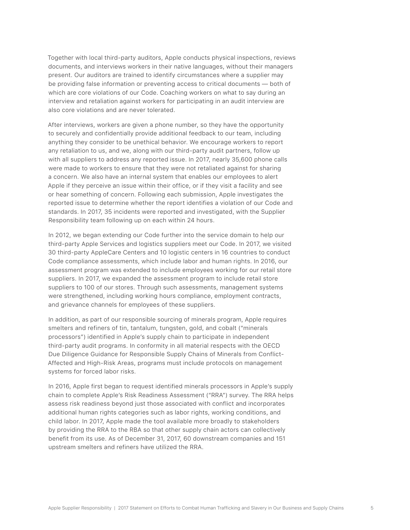Together with local third-party auditors, Apple conducts physical inspections, reviews documents, and interviews workers in their native languages, without their managers present. Our auditors are trained to identify circumstances where a supplier may be providing false information or preventing access to critical documents — both of which are core violations of our Code. Coaching workers on what to say during an interview and retaliation against workers for participating in an audit interview are also core violations and are never tolerated.

After interviews, workers are given a phone number, so they have the opportunity to securely and confidentially provide additional feedback to our team, including anything they consider to be unethical behavior. We encourage workers to report any retaliation to us, and we, along with our third-party audit partners, follow up with all suppliers to address any reported issue. In 2017, nearly 35,600 phone calls were made to workers to ensure that they were not retaliated against for sharing a concern. We also have an internal system that enables our employees to alert Apple if they perceive an issue within their office, or if they visit a facility and see or hear something of concern. Following each submission, Apple investigates the reported issue to determine whether the report identifies a violation of our Code and standards. In 2017, 35 incidents were reported and investigated, with the Supplier Responsibility team following up on each within 24 hours.

In 2012, we began extending our Code further into the service domain to help our third-party Apple Services and logistics suppliers meet our Code. In 2017, we visited 30 third-party AppleCare Centers and 10 logistic centers in 16 countries to conduct Code compliance assessments, which include labor and human rights. In 2016, our assessment program was extended to include employees working for our retail store suppliers. In 2017, we expanded the assessment program to include retail store suppliers to 100 of our stores. Through such assessments, management systems were strengthened, including working hours compliance, employment contracts, and grievance channels for employees of these suppliers.

In addition, as part of our responsible sourcing of minerals program, Apple requires smelters and refiners of tin, tantalum, tungsten, gold, and cobalt ("minerals processors") identified in Apple's supply chain to participate in independent third-party audit programs. In conformity in all material respects with the OECD Due Diligence Guidance for Responsible Supply Chains of Minerals from Conflict-Affected and High-Risk Areas, programs must include protocols on management systems for forced labor risks.

In 2016, Apple first began to request identified minerals processors in Apple's supply chain to complete Apple's Risk Readiness Assessment ("RRA") survey. The RRA helps assess risk readiness beyond just those associated with conflict and incorporates additional human rights categories such as labor rights, working conditions, and child labor. In 2017, Apple made the tool available more broadly to stakeholders by providing the RRA to the RBA so that other supply chain actors can collectively benefit from its use. As of December 31, 2017, 60 downstream companies and 151 upstream smelters and refiners have utilized the RRA.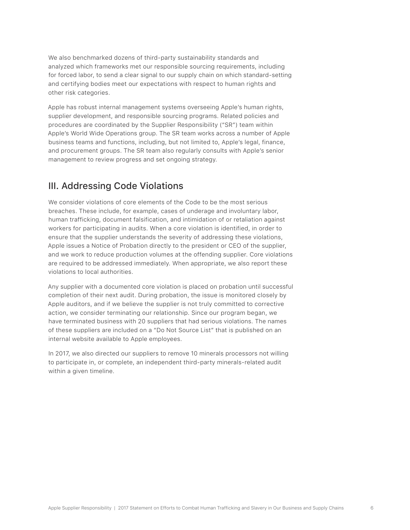We also benchmarked dozens of third-party sustainability standards and analyzed which frameworks met our responsible sourcing requirements, including for forced labor, to send a clear signal to our supply chain on which standard-setting and certifying bodies meet our expectations with respect to human rights and other risk categories.

Apple has robust internal management systems overseeing Apple's human rights, supplier development, and responsible sourcing programs. Related policies and procedures are coordinated by the Supplier Responsibility ("SR") team within Apple's World Wide Operations group. The SR team works across a number of Apple business teams and functions, including, but not limited to, Apple's legal, finance, and procurement groups. The SR team also regularly consults with Apple's senior management to review progress and set ongoing strategy.

## III. Addressing Code Violations

We consider violations of core elements of the Code to be the most serious breaches. These include, for example, cases of underage and involuntary labor, human trafficking, document falsification, and intimidation of or retaliation against workers for participating in audits. When a core violation is identified, in order to ensure that the supplier understands the severity of addressing these violations, Apple issues a Notice of Probation directly to the president or CEO of the supplier, and we work to reduce production volumes at the offending supplier. Core violations are required to be addressed immediately. When appropriate, we also report these violations to local authorities.

Any supplier with a documented core violation is placed on probation until successful completion of their next audit. During probation, the issue is monitored closely by Apple auditors, and if we believe the supplier is not truly committed to corrective action, we consider terminating our relationship. Since our program began, we have terminated business with 20 suppliers that had serious violations. The names of these suppliers are included on a "Do Not Source List" that is published on an internal website available to Apple employees.

In 2017, we also directed our suppliers to remove 10 minerals processors not willing to participate in, or complete, an independent third-party minerals-related audit within a given timeline.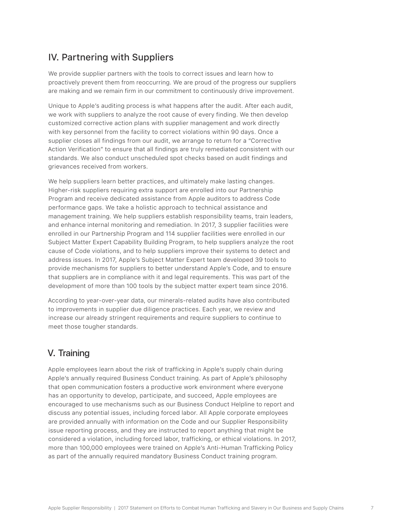## IV. Partnering with Suppliers

We provide supplier partners with the tools to correct issues and learn how to proactively prevent them from reoccurring. We are proud of the progress our suppliers are making and we remain firm in our commitment to continuously drive improvement.

Unique to Apple's auditing process is what happens after the audit. After each audit, we work with suppliers to analyze the root cause of every finding. We then develop customized corrective action plans with supplier management and work directly with key personnel from the facility to correct violations within 90 days. Once a supplier closes all findings from our audit, we arrange to return for a "Corrective Action Verification" to ensure that all findings are truly remediated consistent with our standards. We also conduct unscheduled spot checks based on audit findings and grievances received from workers.

We help suppliers learn better practices, and ultimately make lasting changes. Higher-risk suppliers requiring extra support are enrolled into our Partnership Program and receive dedicated assistance from Apple auditors to address Code performance gaps. We take a holistic approach to technical assistance and management training. We help suppliers establish responsibility teams, train leaders, and enhance internal monitoring and remediation. In 2017, 3 supplier facilities were enrolled in our Partnership Program and 114 supplier facilities were enrolled in our Subject Matter Expert Capability Building Program, to help suppliers analyze the root cause of Code violations, and to help suppliers improve their systems to detect and address issues. In 2017, Apple's Subject Matter Expert team developed 39 tools to provide mechanisms for suppliers to better understand Apple's Code, and to ensure that suppliers are in compliance with it and legal requirements. This was part of the development of more than 100 tools by the subject matter expert team since 2016.

According to year-over-year data, our minerals-related audits have also contributed to improvements in supplier due diligence practices. Each year, we review and increase our already stringent requirements and require suppliers to continue to meet those tougher standards.

#### V. Training

Apple employees learn about the risk of trafficking in Apple's supply chain during Apple's annually required Business Conduct training. As part of Apple's philosophy that open communication fosters a productive work environment where everyone has an opportunity to develop, participate, and succeed, Apple employees are encouraged to use mechanisms such as our Business Conduct Helpline to report and discuss any potential issues, including forced labor. All Apple corporate employees are provided annually with information on the Code and our Supplier Responsibility issue reporting process, and they are instructed to report anything that might be considered a violation, including forced labor, trafficking, or ethical violations. In 2017, more than 100,000 employees were trained on Apple's Anti-Human Trafficking Policy as part of the annually required mandatory Business Conduct training program.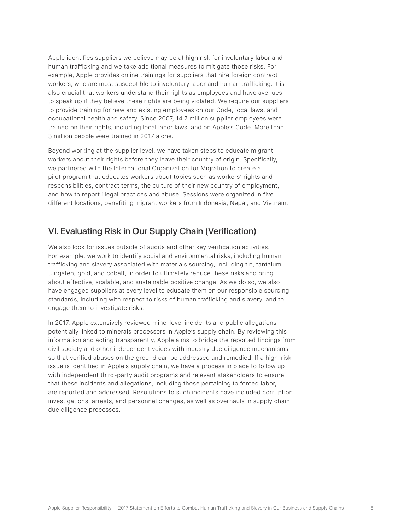Apple identifies suppliers we believe may be at high risk for involuntary labor and human trafficking and we take additional measures to mitigate those risks. For example, Apple provides online trainings for suppliers that hire foreign contract workers, who are most susceptible to involuntary labor and human trafficking. It is also crucial that workers understand their rights as employees and have avenues to speak up if they believe these rights are being violated. We require our suppliers to provide training for new and existing employees on our Code, local laws, and occupational health and safety. Since 2007, 14.7 million supplier employees were trained on their rights, including local labor laws, and on Apple's Code. More than 3 million people were trained in 2017 alone.

Beyond working at the supplier level, we have taken steps to educate migrant workers about their rights before they leave their country of origin. Specifically, we partnered with the International Organization for Migration to create a pilot program that educates workers about topics such as workers' rights and responsibilities, contract terms, the culture of their new country of employment, and how to report illegal practices and abuse. Sessions were organized in five different locations, benefiting migrant workers from Indonesia, Nepal, and Vietnam.

#### VI. Evaluating Risk in Our Supply Chain (Verification)

We also look for issues outside of audits and other key verification activities. For example, we work to identify social and environmental risks, including human trafficking and slavery associated with materials sourcing, including tin, tantalum, tungsten, gold, and cobalt, in order to ultimately reduce these risks and bring about effective, scalable, and sustainable positive change. As we do so, we also have engaged suppliers at every level to educate them on our responsible sourcing standards, including with respect to risks of human trafficking and slavery, and to engage them to investigate risks.

In 2017, Apple extensively reviewed mine-level incidents and public allegations potentially linked to minerals processors in Apple's supply chain. By reviewing this information and acting transparently, Apple aims to bridge the reported findings from civil society and other independent voices with industry due diligence mechanisms so that verified abuses on the ground can be addressed and remedied. If a high-risk issue is identified in Apple's supply chain, we have a process in place to follow up with independent third-party audit programs and relevant stakeholders to ensure that these incidents and allegations, including those pertaining to forced labor, are reported and addressed. Resolutions to such incidents have included corruption investigations, arrests, and personnel changes, as well as overhauls in supply chain due diligence processes.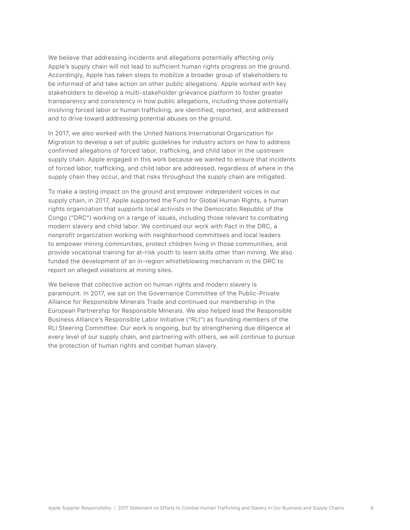We believe that addressing incidents and allegations potentially affecting only Apple's supply chain will not lead to sufficient human rights progress on the ground. Accordingly, Apple has taken steps to mobilize a broader group of stakeholders to be informed of and take action on other public allegations. Apple worked with key stakeholders to develop a multi-stakeholder grievance platform to foster greater transparency and consistency in how public allegations, including those potentially involving forced labor or human trafficking, are identified, reported, and addressed and to drive toward addressing potential abuses on the ground.

In 2017, we also worked with the United Nations International Organization for Migration to develop a set of public guidelines for industry actors on how to address confirmed allegations of forced labor, trafficking, and child labor in the upstream supply chain. Apple engaged in this work because we wanted to ensure that incidents of forced labor, trafficking, and child labor are addressed, regardless of where in the supply chain they occur, and that risks throughout the supply chain are mitigated.

To make a lasting impact on the ground and empower independent voices in our supply chain, in 2017, Apple supported the Fund for Global Human Rights, a human rights organization that supports local activists in the Democratic Republic of the Congo ("DRC") working on a range of issues, including those relevant to combating modern slavery and child labor. We continued our work with Pact in the DRC, a nonprofit organization working with neighborhood committees and local leaders to empower mining communities, protect children living in those communities, and provide vocational training for at-risk youth to learn skills other than mining. We also funded the development of an in-region whistleblowing mechanism in the DRC to report on alleged violations at mining sites.

We believe that collective action on human rights and modern slavery is paramount. In 2017, we sat on the Governance Committee of the Public-Private Alliance for Responsible Minerals Trade and continued our membership in the European Partnership for Responsible Minerals. We also helped lead the Responsible Business Alliance's Responsible Labor Initiative ("RLI") as founding members of the RLI Steering Committee. Our work is ongoing, but by strengthening due diligence at every level of our supply chain, and partnering with others, we will continue to pursue the protection of human rights and combat human slavery.